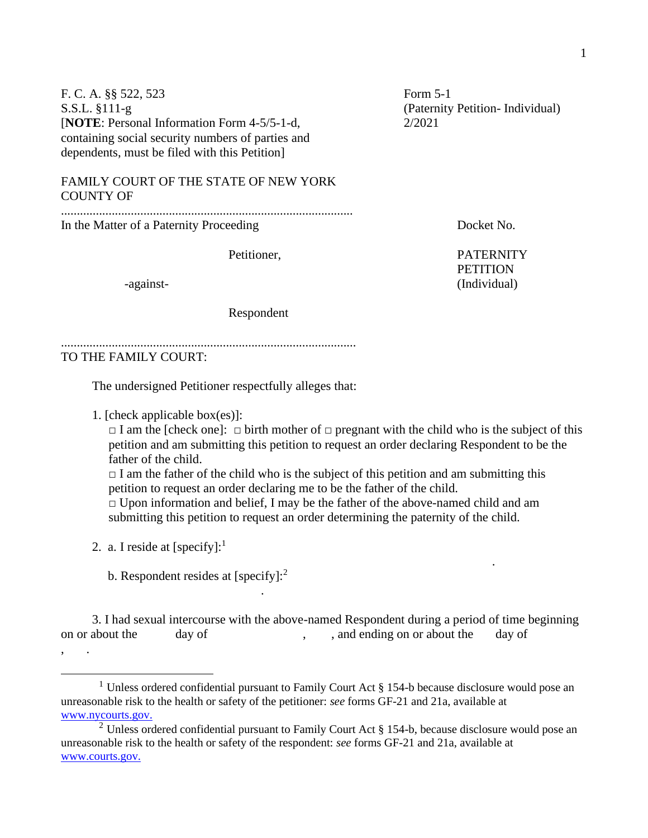F. C. A. §§ 522, 523 Form 5-1 S.S.L. §111-g (Paternity Petition- Individual) [**NOTE**: Personal Information Form 4-5/5-1-d, 2/2021 containing social security numbers of parties and dependents, must be filed with this Petition]

FAMILY COURT OF THE STATE OF NEW YORK COUNTY OF

............................................................................................ In the Matter of a Paternity Proceeding Docket No.

Petitioner. PATERNITY **PETITION** -against- (Individual)

Respondent

TO THE FAMILY COURT:

The undersigned Petitioner respectfully alleges that:

.............................................................................................

1. [check applicable box(es)]:

 $\Box$  I am the [check one]:  $\Box$  birth mother of  $\Box$  pregnant with the child who is the subject of this petition and am submitting this petition to request an order declaring Respondent to be the father of the child.

.

 $\Box$  I am the father of the child who is the subject of this petition and am submitting this petition to request an order declaring me to be the father of the child.

 $\Box$  Upon information and belief, I may be the father of the above-named child and am submitting this petition to request an order determining the paternity of the child.

2. a. I reside at [specify]:<sup>1</sup>

.

,  $\mathbf{r}$ 

b. Respondent resides at [specify]: $<sup>2</sup>$ </sup>

 3. I had sexual intercourse with the above-named Respondent during a period of time beginning on or about the day of , , and ending on or about the day of

<sup>&</sup>lt;sup>1</sup> Unless ordered confidential pursuant to Family Court Act  $\S$  154-b because disclosure would pose an unreasonable risk to the health or safety of the petitioner: *see* forms GF-21 and 21a, available at [www.nycourts.gov.](http://www.nycourts.gov./)

<sup>&</sup>lt;sup>2</sup> Unless ordered confidential pursuant to Family Court Act  $\S 154$ -b, because disclosure would pose an unreasonable risk to the health or safety of the respondent: *see* forms GF-21 and 21a, available at [www.courts.gov.](http://www.courts.gov./)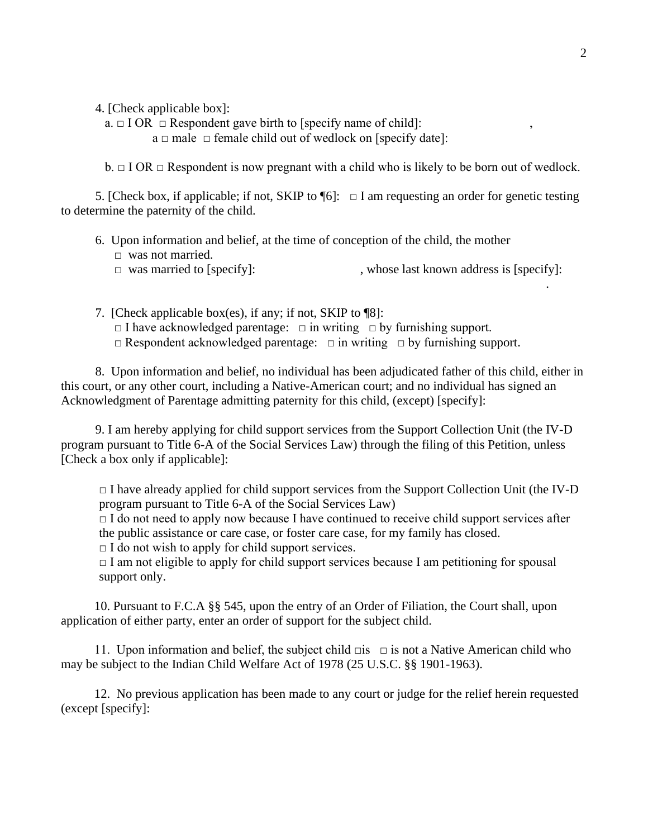4. [Check applicable box]:

 $a. \Box$  I OR  $\Box$  Respondent gave birth to [specify name of child]: ,

 $a \Box$  male  $\Box$  female child out of wedlock on [specify date]:

 $b. \Box$  I OR  $\Box$  Respondent is now pregnant with a child who is likely to be born out of wedlock.

5. [Check box, if applicable; if not, SKIP to  $\P6$ ]:  $\Box$  I am requesting an order for genetic testing to determine the paternity of the child.

 6. Upon information and belief, at the time of conception of the child, the mother □ was not married.

.

- $\Box$  was married to [specify]: , whose last known address is [specify]:
- 7. [Check applicable box(es), if any; if not, SKIP to ¶8]:  $\Box$  I have acknowledged parentage:  $\Box$  in writing  $\Box$  by furnishing support.  $\Box$  Respondent acknowledged parentage:  $\Box$  in writing  $\Box$  by furnishing support.

 8. Upon information and belief, no individual has been adjudicated father of this child, either in this court, or any other court, including a Native-American court; and no individual has signed an Acknowledgment of Parentage admitting paternity for this child, (except) [specify]:

 9. I am hereby applying for child support services from the Support Collection Unit (the IV-D program pursuant to Title 6-A of the Social Services Law) through the filing of this Petition, unless [Check a box only if applicable]:

 $\Box$  I have already applied for child support services from the Support Collection Unit (the IV-D program pursuant to Title 6-A of the Social Services Law)

 $\Box$  I do not need to apply now because I have continued to receive child support services after the public assistance or care case, or foster care case, for my family has closed.

 $\Box$  I do not wish to apply for child support services.

 $\Box$  I am not eligible to apply for child support services because I am petitioning for spousal support only.

10. Pursuant to F.C.A §§ 545, upon the entry of an Order of Filiation, the Court shall, upon application of either party, enter an order of support for the subject child.

11. Upon information and belief, the subject child  $\Box$ is  $\Box$  is not a Native American child who may be subject to the Indian Child Welfare Act of 1978 (25 U.S.C. §§ 1901-1963).

12. No previous application has been made to any court or judge for the relief herein requested (except [specify]: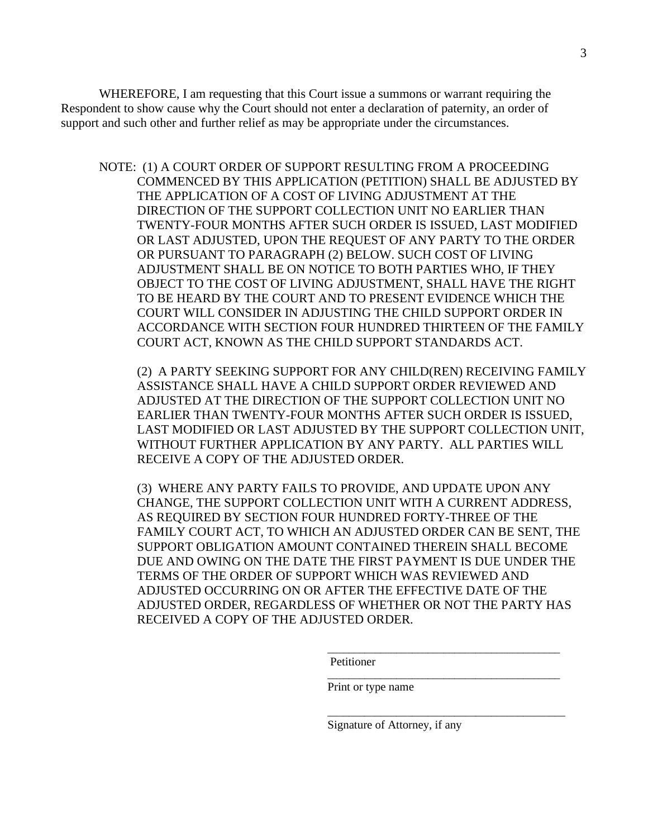WHEREFORE, I am requesting that this Court issue a summons or warrant requiring the Respondent to show cause why the Court should not enter a declaration of paternity, an order of support and such other and further relief as may be appropriate under the circumstances.

NOTE: (1) A COURT ORDER OF SUPPORT RESULTING FROM A PROCEEDING COMMENCED BY THIS APPLICATION (PETITION) SHALL BE ADJUSTED BY THE APPLICATION OF A COST OF LIVING ADJUSTMENT AT THE DIRECTION OF THE SUPPORT COLLECTION UNIT NO EARLIER THAN TWENTY-FOUR MONTHS AFTER SUCH ORDER IS ISSUED, LAST MODIFIED OR LAST ADJUSTED, UPON THE REQUEST OF ANY PARTY TO THE ORDER OR PURSUANT TO PARAGRAPH (2) BELOW. SUCH COST OF LIVING ADJUSTMENT SHALL BE ON NOTICE TO BOTH PARTIES WHO, IF THEY OBJECT TO THE COST OF LIVING ADJUSTMENT, SHALL HAVE THE RIGHT TO BE HEARD BY THE COURT AND TO PRESENT EVIDENCE WHICH THE COURT WILL CONSIDER IN ADJUSTING THE CHILD SUPPORT ORDER IN ACCORDANCE WITH SECTION FOUR HUNDRED THIRTEEN OF THE FAMILY COURT ACT, KNOWN AS THE CHILD SUPPORT STANDARDS ACT.

(2) A PARTY SEEKING SUPPORT FOR ANY CHILD(REN) RECEIVING FAMILY ASSISTANCE SHALL HAVE A CHILD SUPPORT ORDER REVIEWED AND ADJUSTED AT THE DIRECTION OF THE SUPPORT COLLECTION UNIT NO EARLIER THAN TWENTY-FOUR MONTHS AFTER SUCH ORDER IS ISSUED, LAST MODIFIED OR LAST ADJUSTED BY THE SUPPORT COLLECTION UNIT, WITHOUT FURTHER APPLICATION BY ANY PARTY. ALL PARTIES WILL RECEIVE A COPY OF THE ADJUSTED ORDER.

(3) WHERE ANY PARTY FAILS TO PROVIDE, AND UPDATE UPON ANY CHANGE, THE SUPPORT COLLECTION UNIT WITH A CURRENT ADDRESS, AS REQUIRED BY SECTION FOUR HUNDRED FORTY-THREE OF THE FAMILY COURT ACT, TO WHICH AN ADJUSTED ORDER CAN BE SENT, THE SUPPORT OBLIGATION AMOUNT CONTAINED THEREIN SHALL BECOME DUE AND OWING ON THE DATE THE FIRST PAYMENT IS DUE UNDER THE TERMS OF THE ORDER OF SUPPORT WHICH WAS REVIEWED AND ADJUSTED OCCURRING ON OR AFTER THE EFFECTIVE DATE OF THE ADJUSTED ORDER, REGARDLESS OF WHETHER OR NOT THE PARTY HAS RECEIVED A COPY OF THE ADJUSTED ORDER.

Petitioner

Print or type name

Signature of Attorney, if any

\_\_\_\_\_\_\_\_\_\_\_\_\_\_\_\_\_\_\_\_\_\_\_\_\_\_\_\_\_\_\_\_\_\_\_\_\_\_\_\_\_\_\_\_

\_\_\_\_\_\_\_\_\_\_\_\_\_\_\_\_\_\_\_\_\_\_\_\_\_\_\_\_\_\_\_\_\_\_\_\_\_\_\_\_\_\_\_\_

\_\_\_\_\_\_\_\_\_\_\_\_\_\_\_\_\_\_\_\_\_\_\_\_\_\_\_\_\_\_\_\_\_\_\_\_\_\_\_\_\_\_\_\_\_